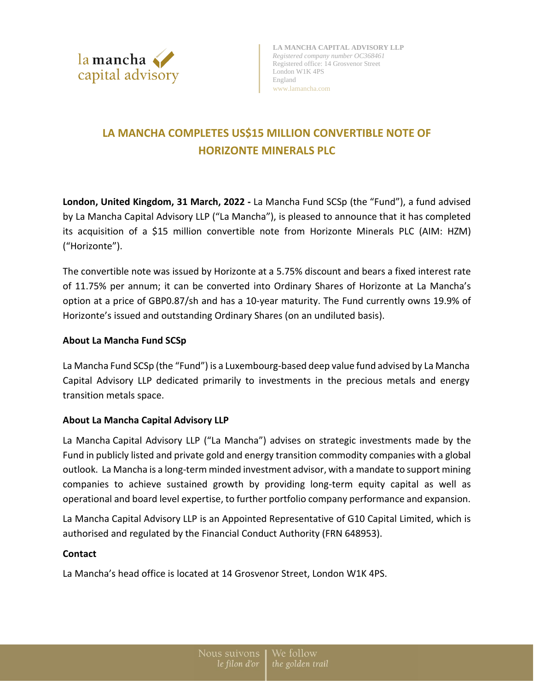

# **LA MANCHA COMPLETES US\$15 MILLION CONVERTIBLE NOTE OF HORIZONTE MINERALS PLC**

**London, United Kingdom, 31 March, 2022 -** La Mancha Fund SCSp (the "Fund"), a fund advised by La Mancha Capital Advisory LLP ("La Mancha"), is pleased to announce that it has completed its acquisition of a \$15 million convertible note from Horizonte Minerals PLC (AIM: HZM) ("Horizonte").

The convertible note was issued by Horizonte at a 5.75% discount and bears a fixed interest rate of 11.75% per annum; it can be converted into Ordinary Shares of Horizonte at La Mancha's option at a price of GBP0.87/sh and has a 10-year maturity. The Fund currently owns 19.9% of Horizonte's issued and outstanding Ordinary Shares (on an undiluted basis).

## **About La Mancha Fund SCSp**

La Mancha Fund SCSp (the "Fund") is a Luxembourg-based deep value fund advised by La Mancha Capital Advisory LLP dedicated primarily to investments in the precious metals and energy transition metals space.

### **About La Mancha Capital Advisory LLP**

La Mancha Capital Advisory LLP ("La Mancha") advises on strategic investments made by the Fund in publicly listed and private gold and energy transition commodity companies with a global outlook. La Mancha is a long-term minded investment advisor, with a mandate to support mining companies to achieve sustained growth by providing long-term equity capital as well as operational and board level expertise, to further portfolio company performance and expansion.

La Mancha Capital Advisory LLP is an Appointed Representative of G10 Capital Limited, which is authorised and regulated by the Financial Conduct Authority (FRN 648953).

### **Contact**

La Mancha's head office is located at 14 Grosvenor Street, London W1K 4PS.